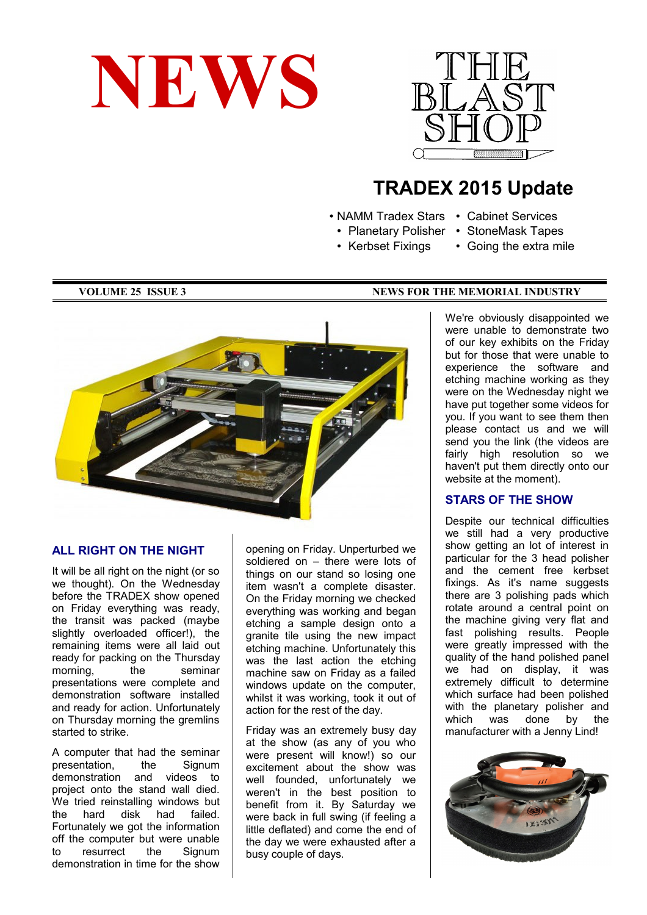



# **TRADEX 2015 Update**

- NAMM Tradex Stars Cabinet Services
	-
	- Kerbset Fixings
	- Planetary Polisher StoneMask Tapes
	-
- Going the extra mile



#### **ALL RIGHT ON THE NIGHT**

It will be all right on the night (or so we thought). On the Wednesday before the TRADEX show opened on Friday everything was ready, the transit was packed (maybe slightly overloaded officer!), the remaining items were all laid out ready for packing on the Thursday morning. the seminar presentations were complete and demonstration software installed and ready for action. Unfortunately on Thursday morning the gremlins started to strike.

A computer that had the seminar presentation, the Signum demonstration and videos to project onto the stand wall died. We tried reinstalling windows but the hard disk had failed. Fortunately we got the information off the computer but were unable to resurrect the Signum demonstration in time for the show

opening on Friday. Unperturbed we soldiered on – there were lots of things on our stand so losing one item wasn't a complete disaster. On the Friday morning we checked everything was working and began etching a sample design onto a granite tile using the new impact etching machine. Unfortunately this was the last action the etching machine saw on Friday as a failed windows update on the computer, whilst it was working, took it out of action for the rest of the day.

Friday was an extremely busy day at the show (as any of you who were present will know!) so our excitement about the show was well founded, unfortunately we weren't in the best position to benefit from it. By Saturday we were back in full swing (if feeling a little deflated) and come the end of the day we were exhausted after a busy couple of days.

#### **VOLUME 25 ISSUE 3** NEWS FOR THE MEMORIAL INDUSTRY

We're obviously disappointed we were unable to demonstrate two of our key exhibits on the Friday but for those that were unable to experience the software and etching machine working as they were on the Wednesday night we have put together some videos for you. If you want to see them then please contact us and we will send you the link (the videos are fairly high resolution so we haven't put them directly onto our website at the moment).

#### **STARS OF THE SHOW**

Despite our technical difficulties we still had a very productive show getting an lot of interest in particular for the 3 head polisher and the cement free kerbset fixings. As it's name suggests there are 3 polishing pads which rotate around a central point on the machine giving very flat and fast polishing results. People were greatly impressed with the quality of the hand polished panel we had on display, it was extremely difficult to determine which surface had been polished with the planetary polisher and which was done by the manufacturer with a Jenny Lind!